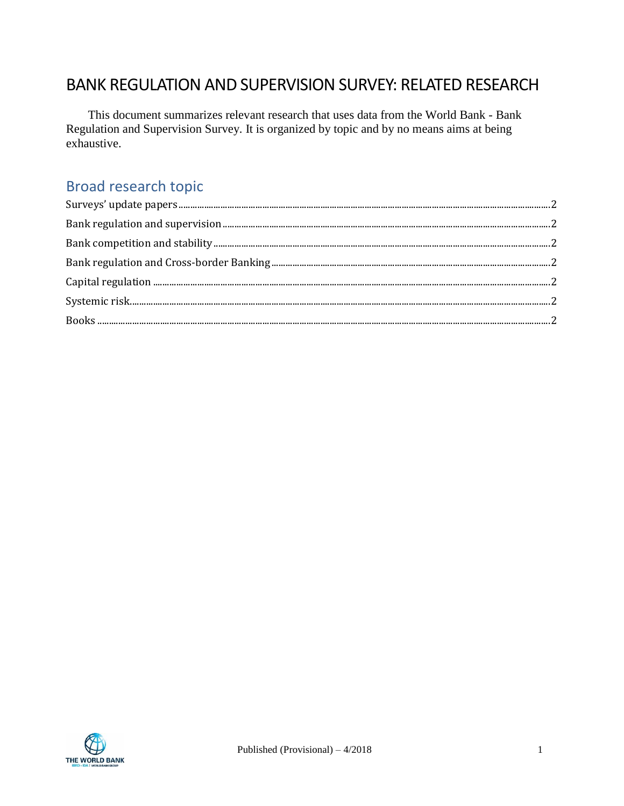# BANK REGULATION AND SUPERVISION SURVEY: RELATED RESEARCH

This document summarizes relevant research that uses data from the World Bank - Bank Regulation and Supervision Survey. It is organized by topic and by no means aims at being exhaustive.

# Broad research topic